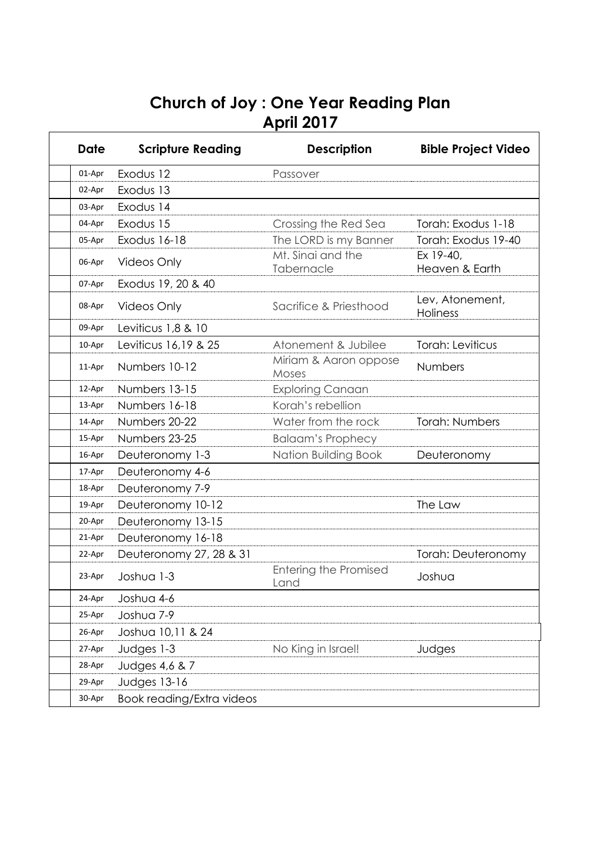## **Church of Joy : One Year Reading Plan April 2017**

| Date   | <b>Scripture Reading</b>  | <b>Description</b>                   | <b>Bible Project Video</b>         |
|--------|---------------------------|--------------------------------------|------------------------------------|
| 01-Apr | Exodus 12                 | Passover                             |                                    |
| 02-Apr | Exodus 13                 |                                      |                                    |
| 03-Apr | Exodus 14                 |                                      |                                    |
| 04-Apr | Exodus 15                 | Crossing the Red Sea                 | Torah: Exodus 1-18                 |
| 05-Apr | Exodus 16-18              | The LORD is my Banner                | Torah: Exodus 19-40                |
| 06-Apr | <b>Videos Only</b>        | Mt. Sinai and the<br>Tabernacle      | Ex 19-40,<br>Heaven & Earth        |
| 07-Apr | Exodus 19, 20 & 40        |                                      |                                    |
| 08-Apr | <b>Videos Only</b>        | Sacrifice & Priesthood               | Lev, Atonement,<br><b>Holiness</b> |
| 09-Apr | Leviticus 1,8 & 10        |                                      |                                    |
| 10-Apr | Leviticus 16,19 & 25      | Atonement & Jubilee                  | Torah: Leviticus                   |
| 11-Apr | Numbers 10-12             | Miriam & Aaron oppose<br>Moses       | Numbers                            |
| 12-Apr | Numbers 13-15             | <b>Exploring Canaan</b>              |                                    |
| 13-Apr | Numbers 16-18             | Korah's rebellion                    |                                    |
| 14-Apr | Numbers 20-22             | Water from the rock                  | <b>Torah: Numbers</b>              |
| 15-Apr | Numbers 23-25             | <b>Balaam's Prophecy</b>             |                                    |
| 16-Apr | Deuteronomy 1-3           | Nation Building Book                 | Deuteronomy                        |
| 17-Apr | Deuteronomy 4-6           |                                      |                                    |
| 18-Apr | Deuteronomy 7-9           |                                      |                                    |
| 19-Apr | Deuteronomy 10-12         |                                      | The Law                            |
| 20-Apr | Deuteronomy 13-15         |                                      |                                    |
| 21-Apr | Deuteronomy 16-18         |                                      |                                    |
| 22-Apr | Deuteronomy 27, 28 & 31   |                                      | Torah: Deuteronomy                 |
|        | 23-Apr Joshua 1-3         | <b>Entering the Promised</b><br>Land | Joshua                             |
| 24-Apr | Joshua 4-6                |                                      |                                    |
| 25-Apr | Joshua 7-9                |                                      |                                    |
| 26-Apr | Joshua 10,11 & 24         |                                      |                                    |
| 27-Apr | Judges 1-3                | No King in Israel!                   | Judges                             |
| 28-Apr | Judges 4,6 & 7            |                                      |                                    |
| 29-Apr | <b>Judges 13-16</b>       |                                      |                                    |
| 30-Apr | Book reading/Extra videos |                                      |                                    |